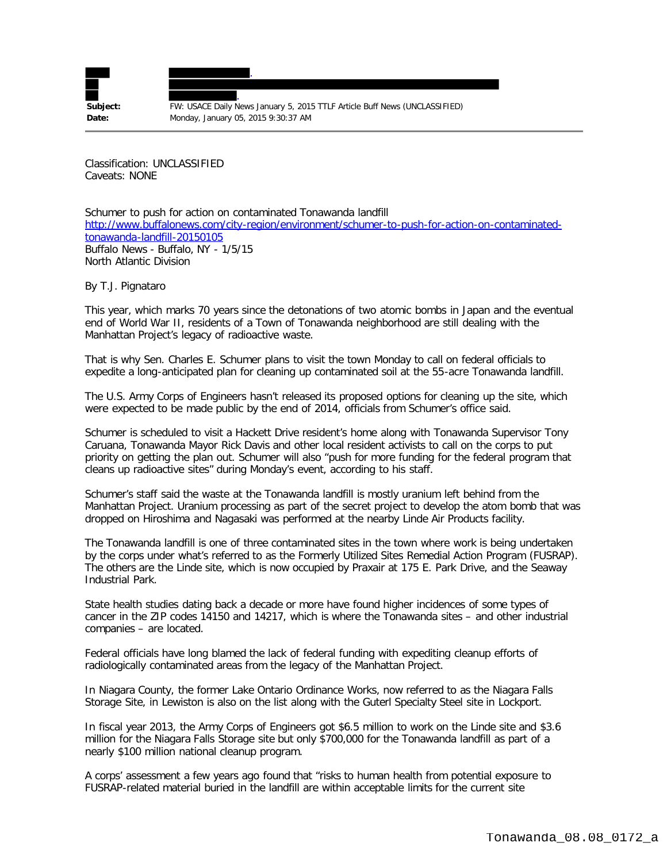

**Subject:** FW: USACE Daily News January 5, 2015 TTLF Article Buff News (UNCLASSIFIED) **Date:** Monday, January 05, 2015 9:30:37 AM

Classification: UNCLASSIFIED Caveats: NONE

Schumer to push for action on contaminated Tonawanda landfill [http://www.buffalonews.com/city-region/environment/schumer-to-push-for-action-on-contaminated](http://www.buffalonews.com/city-region/environment/schumer-to-push-for-action-on-contaminated-tonawanda-landfill-20150105)[tonawanda-landfill-20150105](http://www.buffalonews.com/city-region/environment/schumer-to-push-for-action-on-contaminated-tonawanda-landfill-20150105) Buffalo News - Buffalo, NY - 1/5/15 North Atlantic Division

By T.J. Pignataro

This year, which marks 70 years since the detonations of two atomic bombs in Japan and the eventual end of World War II, residents of a Town of Tonawanda neighborhood are still dealing with the Manhattan Project's legacy of radioactive waste.

That is why Sen. Charles E. Schumer plans to visit the town Monday to call on federal officials to expedite a long-anticipated plan for cleaning up contaminated soil at the 55-acre Tonawanda landfill.

The U.S. Army Corps of Engineers hasn't released its proposed options for cleaning up the site, which were expected to be made public by the end of 2014, officials from Schumer's office said.

Schumer is scheduled to visit a Hackett Drive resident's home along with Tonawanda Supervisor Tony Caruana, Tonawanda Mayor Rick Davis and other local resident activists to call on the corps to put priority on getting the plan out. Schumer will also "push for more funding for the federal program that cleans up radioactive sites" during Monday's event, according to his staff.

Schumer's staff said the waste at the Tonawanda landfill is mostly uranium left behind from the Manhattan Project. Uranium processing as part of the secret project to develop the atom bomb that was dropped on Hiroshima and Nagasaki was performed at the nearby Linde Air Products facility.

The Tonawanda landfill is one of three contaminated sites in the town where work is being undertaken by the corps under what's referred to as the Formerly Utilized Sites Remedial Action Program (FUSRAP). The others are the Linde site, which is now occupied by Praxair at 175 E. Park Drive, and the Seaway Industrial Park.

State health studies dating back a decade or more have found higher incidences of some types of cancer in the ZIP codes 14150 and 14217, which is where the Tonawanda sites – and other industrial companies – are located.

Federal officials have long blamed the lack of federal funding with expediting cleanup efforts of radiologically contaminated areas from the legacy of the Manhattan Project.

In Niagara County, the former Lake Ontario Ordinance Works, now referred to as the Niagara Falls Storage Site, in Lewiston is also on the list along with the Guterl Specialty Steel site in Lockport.

In fiscal year 2013, the Army Corps of Engineers got \$6.5 million to work on the Linde site and \$3.6 million for the Niagara Falls Storage site but only \$700,000 for the Tonawanda landfill as part of a nearly \$100 million national cleanup program.

A corps' assessment a few years ago found that "risks to human health from potential exposure to FUSRAP-related material buried in the landfill are within acceptable limits for the current site